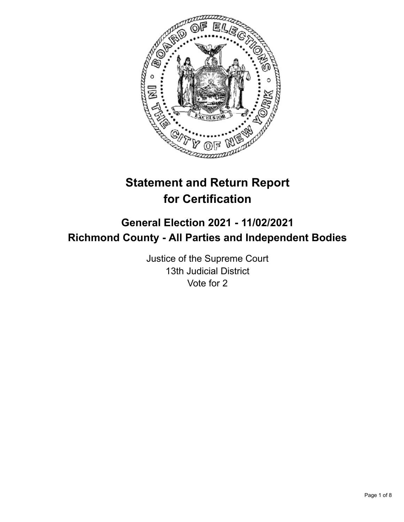

# **Statement and Return Report for Certification**

## **General Election 2021 - 11/02/2021 Richmond County - All Parties and Independent Bodies**

Justice of the Supreme Court 13th Judicial District Vote for 2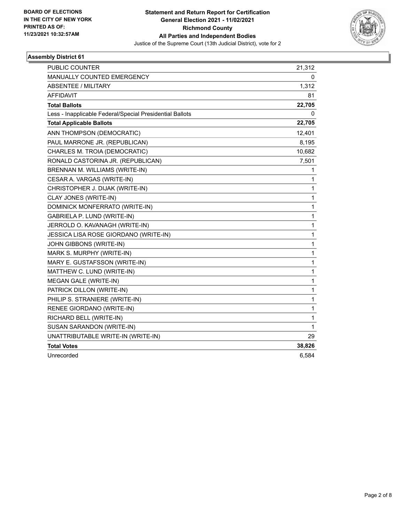

| PUBLIC COUNTER                                           | 21,312       |
|----------------------------------------------------------|--------------|
| <b>MANUALLY COUNTED EMERGENCY</b>                        | 0            |
| ABSENTEE / MILITARY                                      | 1,312        |
| <b>AFFIDAVIT</b>                                         | 81           |
| <b>Total Ballots</b>                                     | 22,705       |
| Less - Inapplicable Federal/Special Presidential Ballots | 0            |
| <b>Total Applicable Ballots</b>                          | 22,705       |
| ANN THOMPSON (DEMOCRATIC)                                | 12,401       |
| PAUL MARRONE JR. (REPUBLICAN)                            | 8,195        |
| CHARLES M. TROIA (DEMOCRATIC)                            | 10,682       |
| RONALD CASTORINA JR. (REPUBLICAN)                        | 7,501        |
| BRENNAN M. WILLIAMS (WRITE-IN)                           | 1            |
| CESAR A. VARGAS (WRITE-IN)                               | 1            |
| CHRISTOPHER J. DIJAK (WRITE-IN)                          | $\mathbf{1}$ |
| CLAY JONES (WRITE-IN)                                    | $\mathbf{1}$ |
| DOMINICK MONFERRATO (WRITE-IN)                           | 1            |
| GABRIELA P. LUND (WRITE-IN)                              | 1            |
| JERROLD O. KAVANAGH (WRITE-IN)                           | $\mathbf{1}$ |
| JESSICA LISA ROSE GIORDANO (WRITE-IN)                    | $\mathbf{1}$ |
| JOHN GIBBONS (WRITE-IN)                                  | $\mathbf{1}$ |
| MARK S. MURPHY (WRITE-IN)                                | $\mathbf{1}$ |
| MARY E. GUSTAFSSON (WRITE-IN)                            | $\mathbf{1}$ |
| MATTHEW C. LUND (WRITE-IN)                               | $\mathbf{1}$ |
| MEGAN GALE (WRITE-IN)                                    | $\mathbf{1}$ |
| PATRICK DILLON (WRITE-IN)                                | $\mathbf{1}$ |
| PHILIP S. STRANIERE (WRITE-IN)                           | $\mathbf{1}$ |
| RENEE GIORDANO (WRITE-IN)                                | $\mathbf{1}$ |
| RICHARD BELL (WRITE-IN)                                  | $\mathbf{1}$ |
| SUSAN SARANDON (WRITE-IN)                                | $\mathbf 1$  |
| UNATTRIBUTABLE WRITE-IN (WRITE-IN)                       | 29           |
| <b>Total Votes</b>                                       | 38,826       |
| Unrecorded                                               | 6,584        |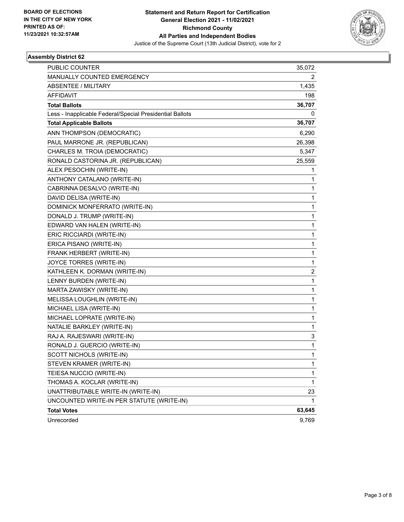

| PUBLIC COUNTER                                           | 35,072 |
|----------------------------------------------------------|--------|
| MANUALLY COUNTED EMERGENCY                               | 2      |
| <b>ABSENTEE / MILITARY</b>                               | 1,435  |
| <b>AFFIDAVIT</b>                                         | 198    |
| <b>Total Ballots</b>                                     | 36,707 |
| Less - Inapplicable Federal/Special Presidential Ballots | 0      |
| <b>Total Applicable Ballots</b>                          | 36,707 |
| ANN THOMPSON (DEMOCRATIC)                                | 6,290  |
| PAUL MARRONE JR. (REPUBLICAN)                            | 26,398 |
| CHARLES M. TROIA (DEMOCRATIC)                            | 5,347  |
| RONALD CASTORINA JR. (REPUBLICAN)                        | 25,559 |
| ALEX PESOCHIN (WRITE-IN)                                 | 1      |
| ANTHONY CATALANO (WRITE-IN)                              | 1      |
| CABRINNA DESALVO (WRITE-IN)                              | 1      |
| DAVID DELISA (WRITE-IN)                                  | 1      |
| DOMINICK MONFERRATO (WRITE-IN)                           | 1      |
| DONALD J. TRUMP (WRITE-IN)                               | 1      |
| EDWARD VAN HALEN (WRITE-IN)                              | 1      |
| ERIC RICCIARDI (WRITE-IN)                                | 1      |
| ERICA PISANO (WRITE-IN)                                  | 1      |
| FRANK HERBERT (WRITE-IN)                                 | 1      |
| JOYCE TORRES (WRITE-IN)                                  | 1      |
| KATHLEEN K. DORMAN (WRITE-IN)                            | 2      |
| LENNY BURDEN (WRITE-IN)                                  | 1      |
| MARTA ZAWISKY (WRITE-IN)                                 | 1      |
| MELISSA LOUGHLIN (WRITE-IN)                              | 1      |
| MICHAEL LISA (WRITE-IN)                                  | 1      |
| MICHAEL LOPRATE (WRITE-IN)                               | 1      |
| NATALIE BARKLEY (WRITE-IN)                               | 1      |
| RAJ A. RAJESWARI (WRITE-IN)                              | 3      |
| RONALD J. GUERCIO (WRITE-IN)                             | 1      |
| SCOTT NICHOLS (WRITE-IN)                                 | 1      |
| STEVEN KRAMER (WRITE-IN)                                 | 1      |
| TEIESA NUCCIO (WRITE-IN)                                 | 1      |
| THOMAS A. KOCLAR (WRITE-IN)                              | 1      |
| UNATTRIBUTABLE WRITE-IN (WRITE-IN)                       | 23     |
| UNCOUNTED WRITE-IN PER STATUTE (WRITE-IN)                | 1      |
| <b>Total Votes</b>                                       | 63,645 |
| Unrecorded                                               | 9,769  |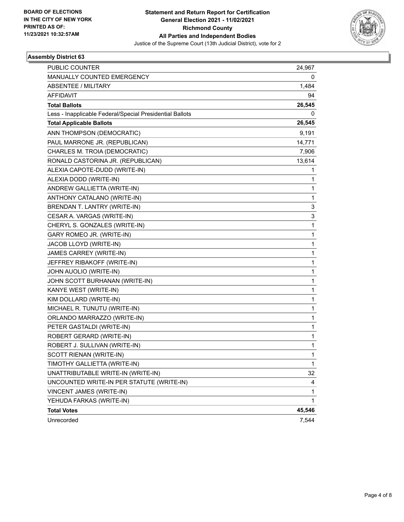

| PUBLIC COUNTER                                           | 24,967 |
|----------------------------------------------------------|--------|
| MANUALLY COUNTED EMERGENCY                               | 0      |
| <b>ABSENTEE / MILITARY</b>                               | 1,484  |
| <b>AFFIDAVIT</b>                                         | 94     |
| <b>Total Ballots</b>                                     | 26,545 |
| Less - Inapplicable Federal/Special Presidential Ballots | 0      |
| <b>Total Applicable Ballots</b>                          | 26,545 |
| ANN THOMPSON (DEMOCRATIC)                                | 9,191  |
| PAUL MARRONE JR. (REPUBLICAN)                            | 14,771 |
| CHARLES M. TROIA (DEMOCRATIC)                            | 7,906  |
| RONALD CASTORINA JR. (REPUBLICAN)                        | 13,614 |
| ALEXIA CAPOTE-DUDD (WRITE-IN)                            | 1      |
| ALEXIA DODD (WRITE-IN)                                   | 1      |
| ANDREW GALLIETTA (WRITE-IN)                              | 1      |
| ANTHONY CATALANO (WRITE-IN)                              | 1      |
| BRENDAN T. LANTRY (WRITE-IN)                             | 3      |
| CESAR A. VARGAS (WRITE-IN)                               | 3      |
| CHERYL S. GONZALES (WRITE-IN)                            | 1      |
| GARY ROMEO JR. (WRITE-IN)                                | 1      |
| JACOB LLOYD (WRITE-IN)                                   | 1      |
| JAMES CARREY (WRITE-IN)                                  | 1      |
| JEFFREY RIBAKOFF (WRITE-IN)                              | 1      |
| JOHN AUOLIO (WRITE-IN)                                   | 1      |
| JOHN SCOTT BURHANAN (WRITE-IN)                           | 1      |
| KANYE WEST (WRITE-IN)                                    | 1      |
| KIM DOLLARD (WRITE-IN)                                   | 1      |
| MICHAEL R. TUNUTU (WRITE-IN)                             | 1      |
| ORLANDO MARRAZZO (WRITE-IN)                              | 1      |
| PETER GASTALDI (WRITE-IN)                                | 1      |
| ROBERT GERARD (WRITE-IN)                                 | 1      |
| ROBERT J. SULLIVAN (WRITE-IN)                            | 1      |
| SCOTT RIENAN (WRITE-IN)                                  | 1      |
| TIMOTHY GALLIETTA (WRITE-IN)                             | 1      |
| UNATTRIBUTABLE WRITE-IN (WRITE-IN)                       | 32     |
| UNCOUNTED WRITE-IN PER STATUTE (WRITE-IN)                | 4      |
| VINCENT JAMES (WRITE-IN)                                 | 1      |
| YEHUDA FARKAS (WRITE-IN)                                 | 1      |
| <b>Total Votes</b>                                       | 45,546 |
| Unrecorded                                               | 7,544  |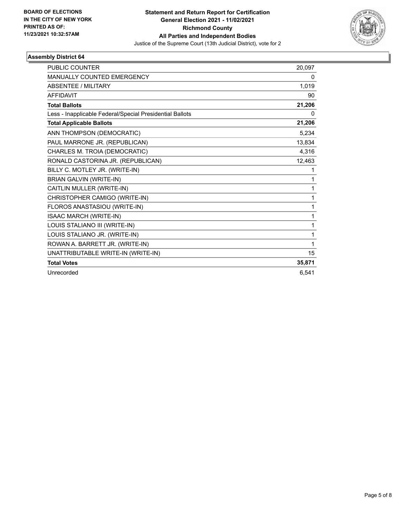

| <b>PUBLIC COUNTER</b>                                    | 20,097 |
|----------------------------------------------------------|--------|
| <b>MANUALLY COUNTED EMERGENCY</b>                        | 0      |
| <b>ABSENTEE / MILITARY</b>                               | 1,019  |
| <b>AFFIDAVIT</b>                                         | 90     |
| <b>Total Ballots</b>                                     | 21,206 |
| Less - Inapplicable Federal/Special Presidential Ballots | 0      |
| <b>Total Applicable Ballots</b>                          | 21,206 |
| ANN THOMPSON (DEMOCRATIC)                                | 5,234  |
| PAUL MARRONE JR. (REPUBLICAN)                            | 13,834 |
| CHARLES M. TROIA (DEMOCRATIC)                            | 4,316  |
| RONALD CASTORINA JR. (REPUBLICAN)                        | 12,463 |
| BILLY C. MOTLEY JR. (WRITE-IN)                           | 1      |
| <b>BRIAN GALVIN (WRITE-IN)</b>                           | 1      |
| CAITLIN MULLER (WRITE-IN)                                | 1      |
| CHRISTOPHER CAMIGO (WRITE-IN)                            | 1      |
| FLOROS ANASTASIOU (WRITE-IN)                             | 1      |
| ISAAC MARCH (WRITE-IN)                                   | 1      |
| LOUIS STALIANO III (WRITE-IN)                            | 1      |
| LOUIS STALIANO JR. (WRITE-IN)                            | 1      |
| ROWAN A. BARRETT JR. (WRITE-IN)                          | 1      |
| UNATTRIBUTABLE WRITE-IN (WRITE-IN)                       | 15     |
| <b>Total Votes</b>                                       | 35,871 |
| Unrecorded                                               | 6,541  |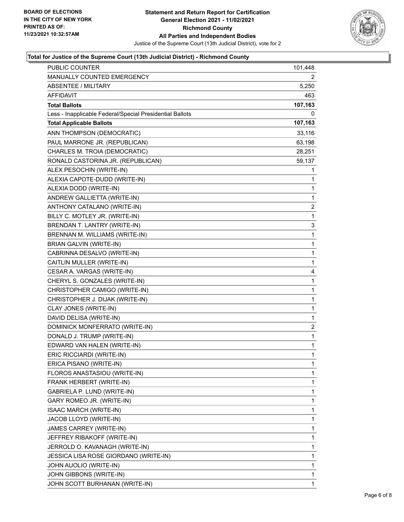

### **Total for Justice of the Supreme Court (13th Judicial District) - Richmond County**

| <b>PUBLIC COUNTER</b>                                    | 101,448        |
|----------------------------------------------------------|----------------|
| MANUALLY COUNTED EMERGENCY                               | 2              |
| <b>ABSENTEE / MILITARY</b>                               | 5,250          |
| AFFIDAVIT                                                | 463            |
| <b>Total Ballots</b>                                     | 107,163        |
| Less - Inapplicable Federal/Special Presidential Ballots | 0              |
| <b>Total Applicable Ballots</b>                          | 107,163        |
| ANN THOMPSON (DEMOCRATIC)                                | 33,116         |
| PAUL MARRONE JR. (REPUBLICAN)                            | 63,198         |
| CHARLES M. TROIA (DEMOCRATIC)                            | 28,251         |
| RONALD CASTORINA JR. (REPUBLICAN)                        | 59,137         |
| ALEX PESOCHIN (WRITE-IN)                                 | 1              |
| ALEXIA CAPOTE-DUDD (WRITE-IN)                            | 1              |
| ALEXIA DODD (WRITE-IN)                                   | 1              |
| ANDREW GALLIETTA (WRITE-IN)                              | 1              |
| ANTHONY CATALANO (WRITE-IN)                              | 2              |
| BILLY C. MOTLEY JR. (WRITE-IN)                           | 1              |
| BRENDAN T. LANTRY (WRITE-IN)                             | 3              |
| BRENNAN M. WILLIAMS (WRITE-IN)                           | 1              |
| <b>BRIAN GALVIN (WRITE-IN)</b>                           | 1              |
| CABRINNA DESALVO (WRITE-IN)                              | 1              |
| CAITLIN MULLER (WRITE-IN)                                | 1              |
| CESAR A. VARGAS (WRITE-IN)                               | 4              |
| CHERYL S. GONZALES (WRITE-IN)                            | 1              |
| CHRISTOPHER CAMIGO (WRITE-IN)                            | 1              |
| CHRISTOPHER J. DIJAK (WRITE-IN)                          | 1              |
| CLAY JONES (WRITE-IN)                                    | 1              |
| DAVID DELISA (WRITE-IN)                                  | 1              |
| DOMINICK MONFERRATO (WRITE-IN)                           | $\overline{c}$ |
| DONALD J. TRUMP (WRITE-IN)                               | 1              |
| EDWARD VAN HALEN (WRITE-IN)                              | 1              |
| ERIC RICCIARDI (WRITE-IN)                                | 1              |
| ERICA PISANO (WRITE-IN)                                  | 1              |
| FLOROS ANASTASIOU (WRITE-IN)                             | 1              |
| FRANK HERBERT (WRITE-IN)                                 | 1              |
| GABRIELA P. LUND (WRITE-IN)                              | 1              |
| GARY ROMEO JR. (WRITE-IN)                                | 1              |
| ISAAC MARCH (WRITE-IN)                                   | 1              |
| JACOB LLOYD (WRITE-IN)                                   | 1              |
| JAMES CARREY (WRITE-IN)                                  | 1              |
| JEFFREY RIBAKOFF (WRITE-IN)                              | 1              |
| JERROLD O. KAVANAGH (WRITE-IN)                           | 1              |
| JESSICA LISA ROSE GIORDANO (WRITE-IN)                    | 1              |
| JOHN AUOLIO (WRITE-IN)                                   | 1              |
| JOHN GIBBONS (WRITE-IN)                                  | 1              |
| JOHN SCOTT BURHANAN (WRITE-IN)                           | 1              |
|                                                          |                |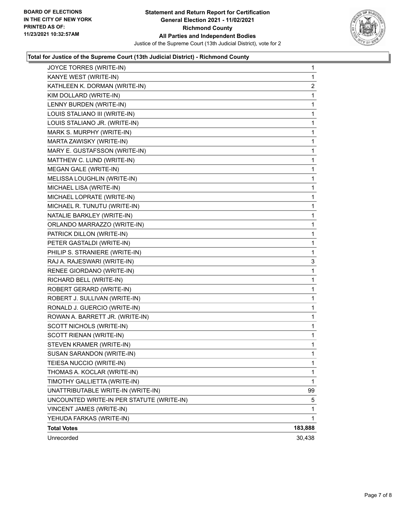

### **Total for Justice of the Supreme Court (13th Judicial District) - Richmond County**

| JOYCE TORRES (WRITE-IN)                   | 1       |
|-------------------------------------------|---------|
| KANYE WEST (WRITE-IN)                     | 1       |
| KATHLEEN K. DORMAN (WRITE-IN)             | 2       |
| KIM DOLLARD (WRITE-IN)                    | 1       |
| LENNY BURDEN (WRITE-IN)                   | 1       |
| LOUIS STALIANO III (WRITE-IN)             | 1       |
| LOUIS STALIANO JR. (WRITE-IN)             | 1       |
| MARK S. MURPHY (WRITE-IN)                 | 1       |
| MARTA ZAWISKY (WRITE-IN)                  | 1       |
| MARY E. GUSTAFSSON (WRITE-IN)             | 1       |
| MATTHEW C. LUND (WRITE-IN)                | 1       |
| MEGAN GALE (WRITE-IN)                     | 1       |
| MELISSA LOUGHLIN (WRITE-IN)               | 1       |
| MICHAEL LISA (WRITE-IN)                   | 1       |
| MICHAEL LOPRATE (WRITE-IN)                | 1       |
| MICHAEL R. TUNUTU (WRITE-IN)              | 1       |
| NATALIE BARKLEY (WRITE-IN)                | 1       |
| ORLANDO MARRAZZO (WRITE-IN)               | 1       |
| PATRICK DILLON (WRITE-IN)                 | 1       |
| PETER GASTALDI (WRITE-IN)                 | 1       |
| PHILIP S. STRANIERE (WRITE-IN)            | 1       |
| RAJ A. RAJESWARI (WRITE-IN)               | 3       |
| RENEE GIORDANO (WRITE-IN)                 | 1       |
| RICHARD BELL (WRITE-IN)                   | 1       |
| ROBERT GERARD (WRITE-IN)                  | 1       |
| ROBERT J. SULLIVAN (WRITE-IN)             | 1       |
| RONALD J. GUERCIO (WRITE-IN)              | 1       |
| ROWAN A. BARRETT JR. (WRITE-IN)           | 1       |
| SCOTT NICHOLS (WRITE-IN)                  | 1       |
| SCOTT RIENAN (WRITE-IN)                   | 1       |
| STEVEN KRAMER (WRITE-IN)                  | 1       |
| SUSAN SARANDON (WRITE-IN)                 | 1       |
| TEIESA NUCCIO (WRITE-IN)                  | 1       |
| THOMAS A. KOCLAR (WRITE-IN)               | 1       |
| TIMOTHY GALLIETTA (WRITE-IN)              | 1       |
| UNATTRIBUTABLE WRITE-IN (WRITE-IN)        | 99      |
| UNCOUNTED WRITE-IN PER STATUTE (WRITE-IN) | 5       |
| VINCENT JAMES (WRITE-IN)                  | 1       |
| YEHUDA FARKAS (WRITE-IN)                  | 1       |
| <b>Total Votes</b>                        | 183,888 |
| Unrecorded                                | 30,438  |